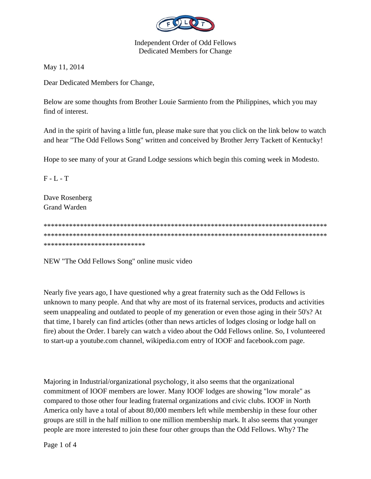

**Independent Order of Odd Fellows Dedicated Members for Change** 

May 11, 2014

Dear Dedicated Members for Change,

Below are some thoughts from Brother Louie Sarmiento from the Philippines, which you may find of interest.

And in the spirit of having a little fun, please make sure that you click on the link below to watch and hear "The Odd Fellows Song" written and conceived by Brother Jerry Tackett of Kentucky!

Hope to see many of your at Grand Lodge sessions which begin this coming week in Modesto.

 $F - L - T$ 

Dave Rosenberg **Grand Warden** 

\*\*\*\*\*\*\*\*\*\*\*\*\*\*\*\*\*\*\*\*\*\*\*\*\*\*\*\*

NEW "The Odd Fellows Song" online music video

Nearly five years ago, I have questioned why a great fraternity such as the Odd Fellows is unknown to many people. And that why are most of its fraternal services, products and activities seem unappealing and outdated to people of my generation or even those aging in their 50's? At that time, I barely can find articles (other than news articles of lodges closing or lodge hall on fire) about the Order. I barely can watch a video about the Odd Fellows online. So, I volunteered to start-up a youtube.com channel, wikipedia.com entry of IOOF and facebook.com page.

Majoring in Industrial/organizational psychology, it also seems that the organizational commitment of IOOF members are lower. Many IOOF lodges are showing "low morale" as compared to those other four leading fraternal organizations and civic clubs. IOOF in North America only have a total of about 80,000 members left while membership in these four other groups are still in the half million to one million membership mark. It also seems that younger people are more interested to join these four other groups than the Odd Fellows. Why? The

Page 1 of 4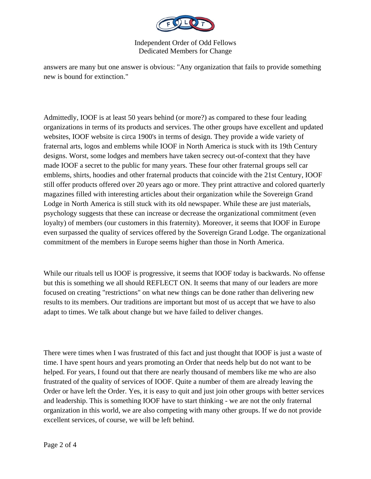

Independent Order of Odd Fellows Dedicated Members for Change

answers are many but one answer is obvious: "Any organization that fails to provide something new is bound for extinction."

Admittedly, IOOF is at least 50 years behind (or more?) as compared to these four leading organizations in terms of its products and services. The other groups have excellent and updated websites, IOOF website is circa 1900's in terms of design. They provide a wide variety of fraternal arts, logos and emblems while IOOF in North America is stuck with its 19th Century designs. Worst, some lodges and members have taken secrecy out-of-context that they have made IOOF a secret to the public for many years. These four other fraternal groups sell car emblems, shirts, hoodies and other fraternal products that coincide with the 21st Century, IOOF still offer products offered over 20 years ago or more. They print attractive and colored quarterly magazines filled with interesting articles about their organization while the Sovereign Grand Lodge in North America is still stuck with its old newspaper. While these are just materials, psychology suggests that these can increase or decrease the organizational commitment (even loyalty) of members (our customers in this fraternity). Moreover, it seems that IOOF in Europe even surpassed the quality of services offered by the Sovereign Grand Lodge. The organizational commitment of the members in Europe seems higher than those in North America.

While our rituals tell us IOOF is progressive, it seems that IOOF today is backwards. No offense but this is something we all should REFLECT ON. It seems that many of our leaders are more focused on creating "restrictions" on what new things can be done rather than delivering new results to its members. Our traditions are important but most of us accept that we have to also adapt to times. We talk about change but we have failed to deliver changes.

There were times when I was frustrated of this fact and just thought that IOOF is just a waste of time. I have spent hours and years promoting an Order that needs help but do not want to be helped. For years, I found out that there are nearly thousand of members like me who are also frustrated of the quality of services of IOOF. Quite a number of them are already leaving the Order or have left the Order. Yes, it is easy to quit and just join other groups with better services and leadership. This is something IOOF have to start thinking - we are not the only fraternal organization in this world, we are also competing with many other groups. If we do not provide excellent services, of course, we will be left behind.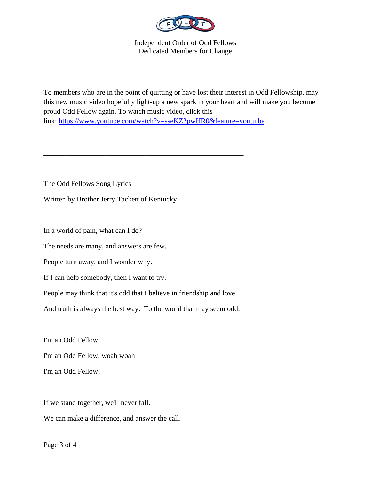

Independent Order of Odd Fellows Dedicated Members for Change

To members who are in the point of quitting or have lost their interest in Odd Fellowship, may this new music video hopefully light-up a new spark in your heart and will make you become proud Odd Fellow again. To watch music video, click this link: https://www.youtube.com/watch?v=sseKZ2pwHR0&feature=youtu.be

The Odd Fellows Song Lyrics

Written by Brother Jerry Tackett of Kentucky

In a world of pain, what can I do?

The needs are many, and answers are few.

People turn away, and I wonder why.

If I can help somebody, then I want to try.

People may think that it's odd that I believe in friendship and love.

\_\_\_\_\_\_\_\_\_\_\_\_\_\_\_\_\_\_\_\_\_\_\_\_\_\_\_\_\_\_\_\_\_\_\_\_\_\_\_\_\_\_\_\_\_\_\_\_\_\_\_\_\_\_\_

And truth is always the best way. To the world that may seem odd.

I'm an Odd Fellow! I'm an Odd Fellow, woah woah I'm an Odd Fellow!

If we stand together, we'll never fall. We can make a difference, and answer the call.